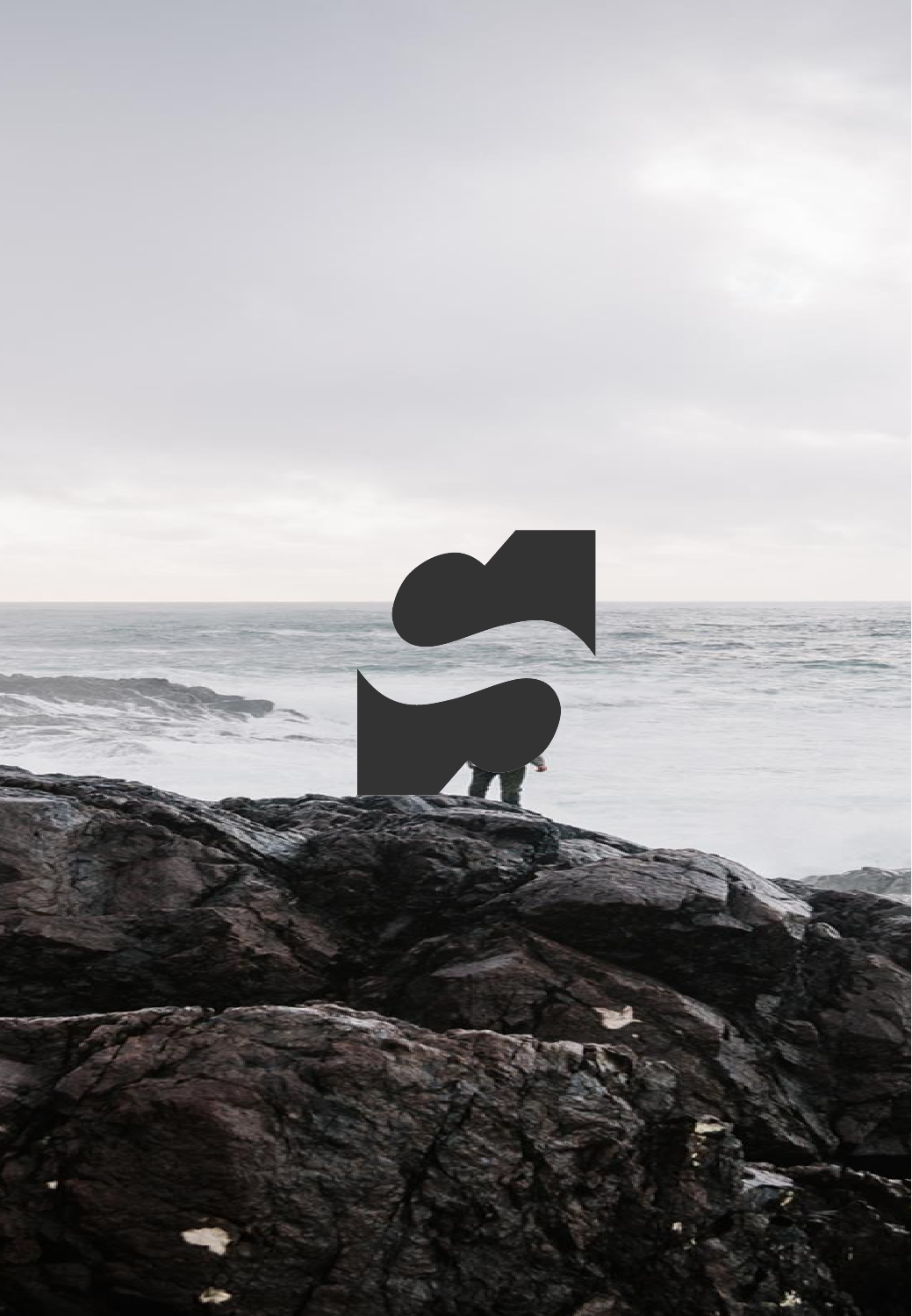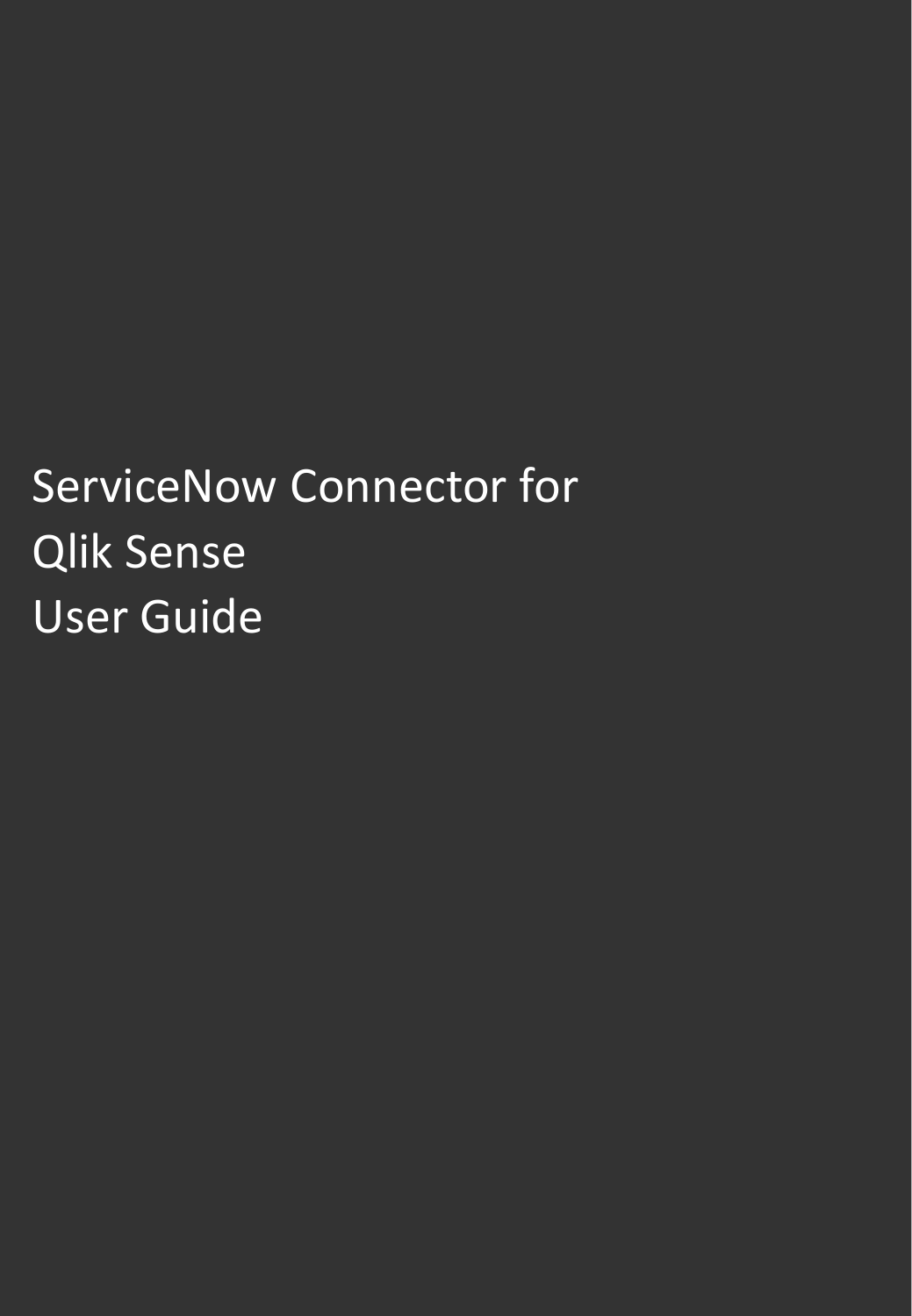# ServiceNow Connector for Qlik Sense User Guide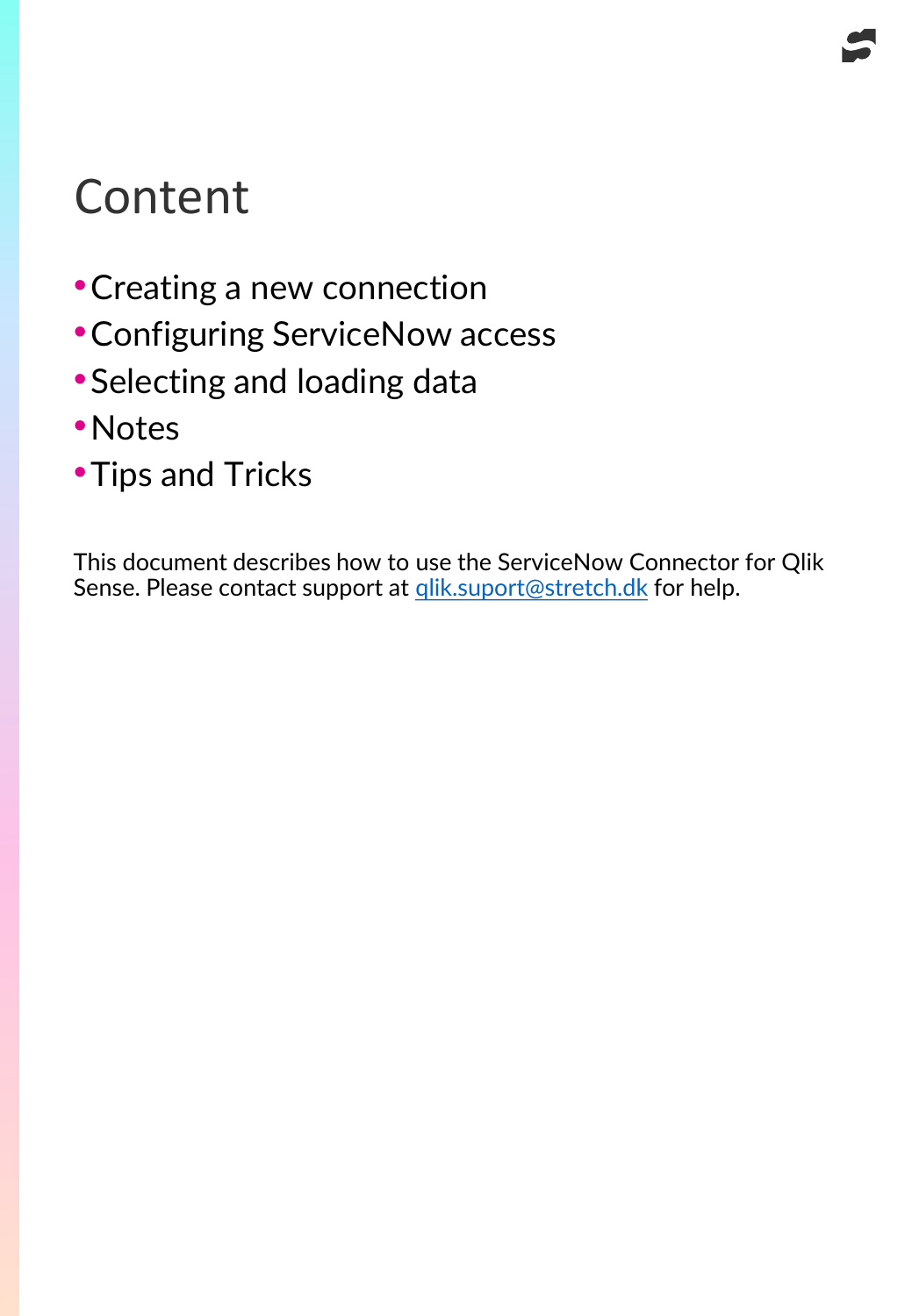# Content

- •Creating a new connection
- •Configuring ServiceNow access
- •Selecting and loading data
- •Notes
- •Tips and Tricks

This document describes how to use the ServiceNow Connector for Qlik Sense. Please contact support at [qlik.suport@stretch.dk](mailto:qlik.suport@stretch.dk) for help.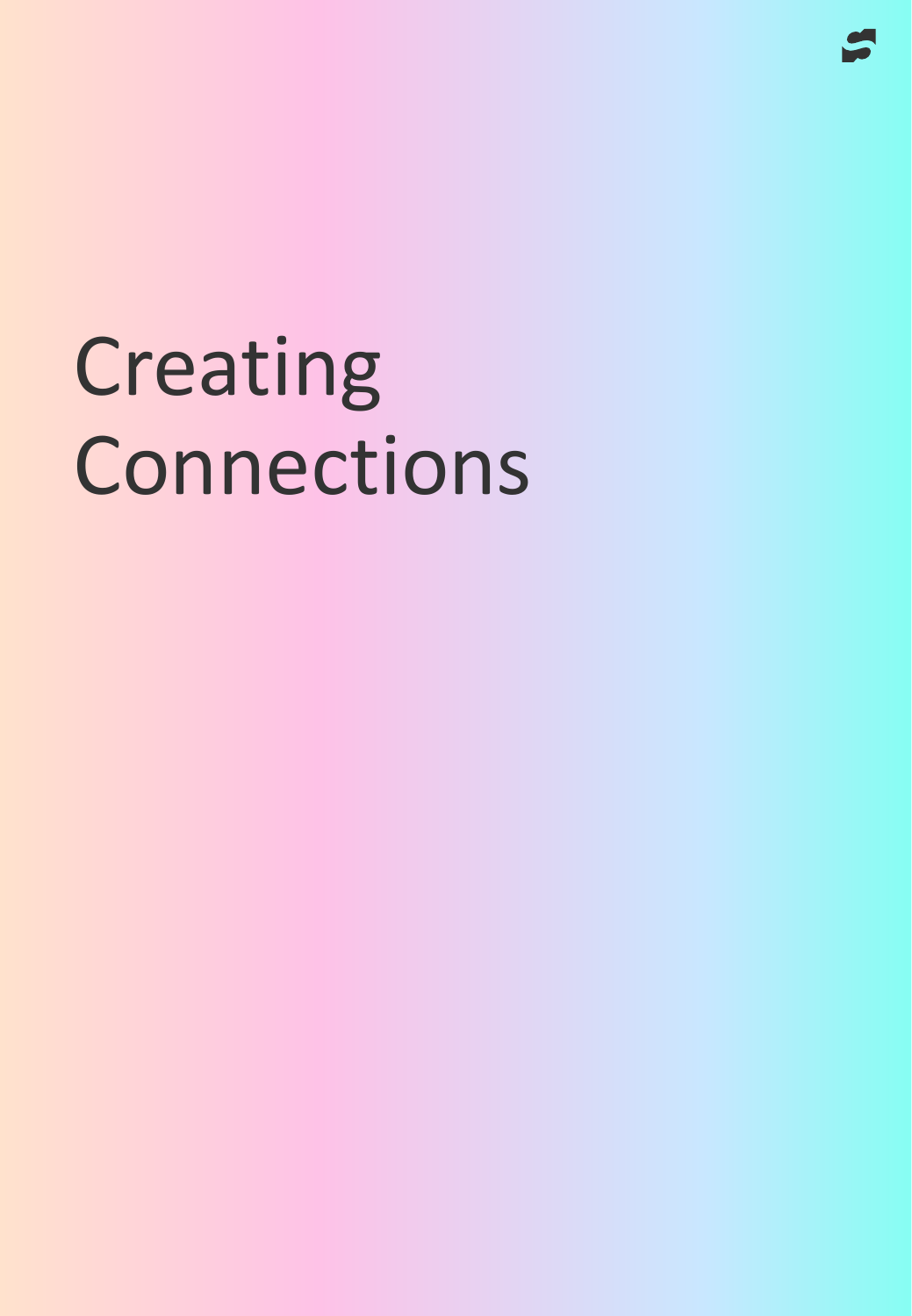Creating Connections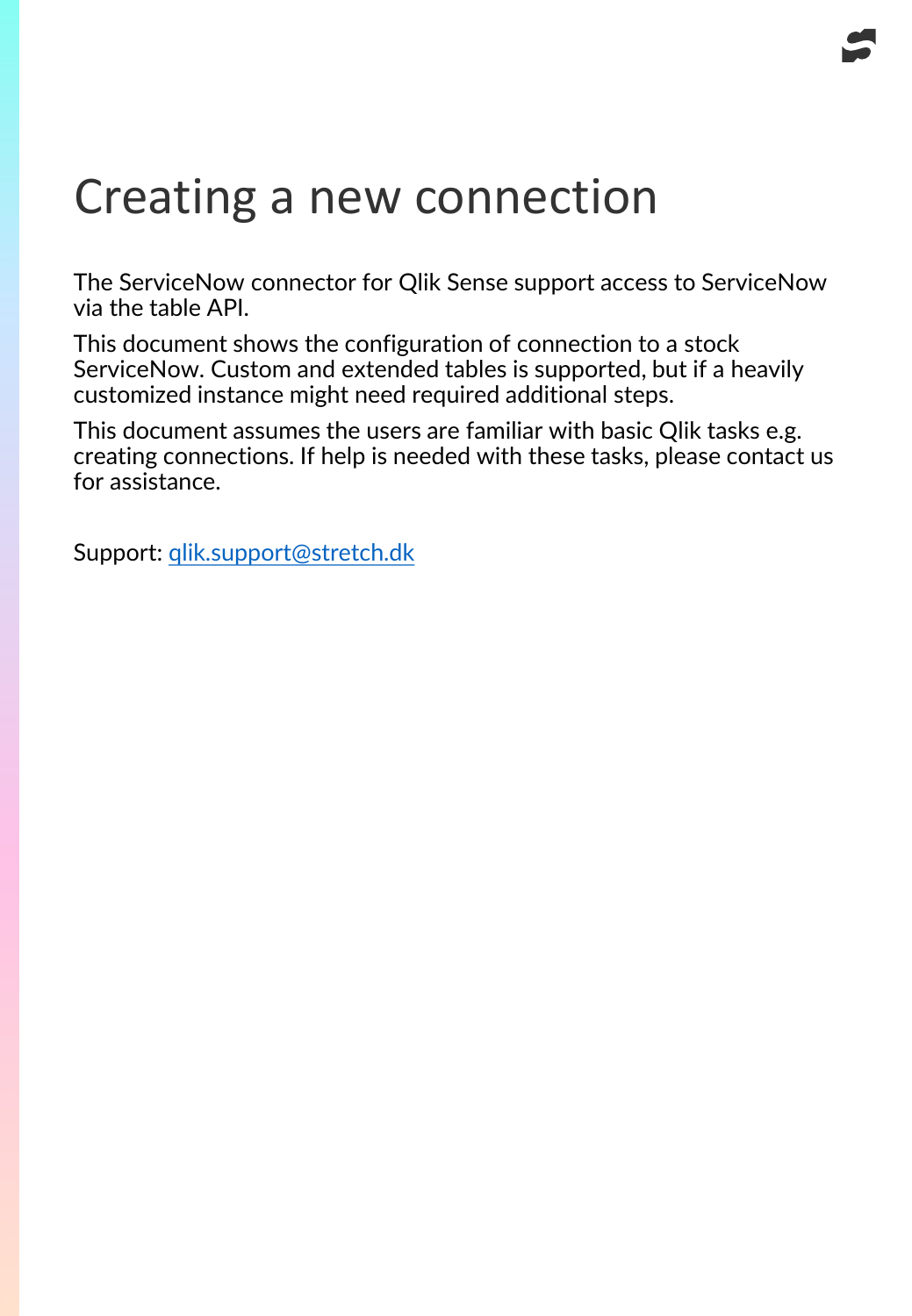## Creating a new connection

The ServiceNow connector for Qlik Sense support access to ServiceNow via the table API.

This document shows the configuration of connection to a stock ServiceNow. Custom and extended tables is supported, but if a heavily customized instance might need required additional steps.

This document assumes the users are familiar with basic Qlik tasks e.g. creating connections. If help is needed with these tasks, please contact us for assistance.

Support: [qlik.support@stretch.dk](mailto:qlik.support@stretch.dk)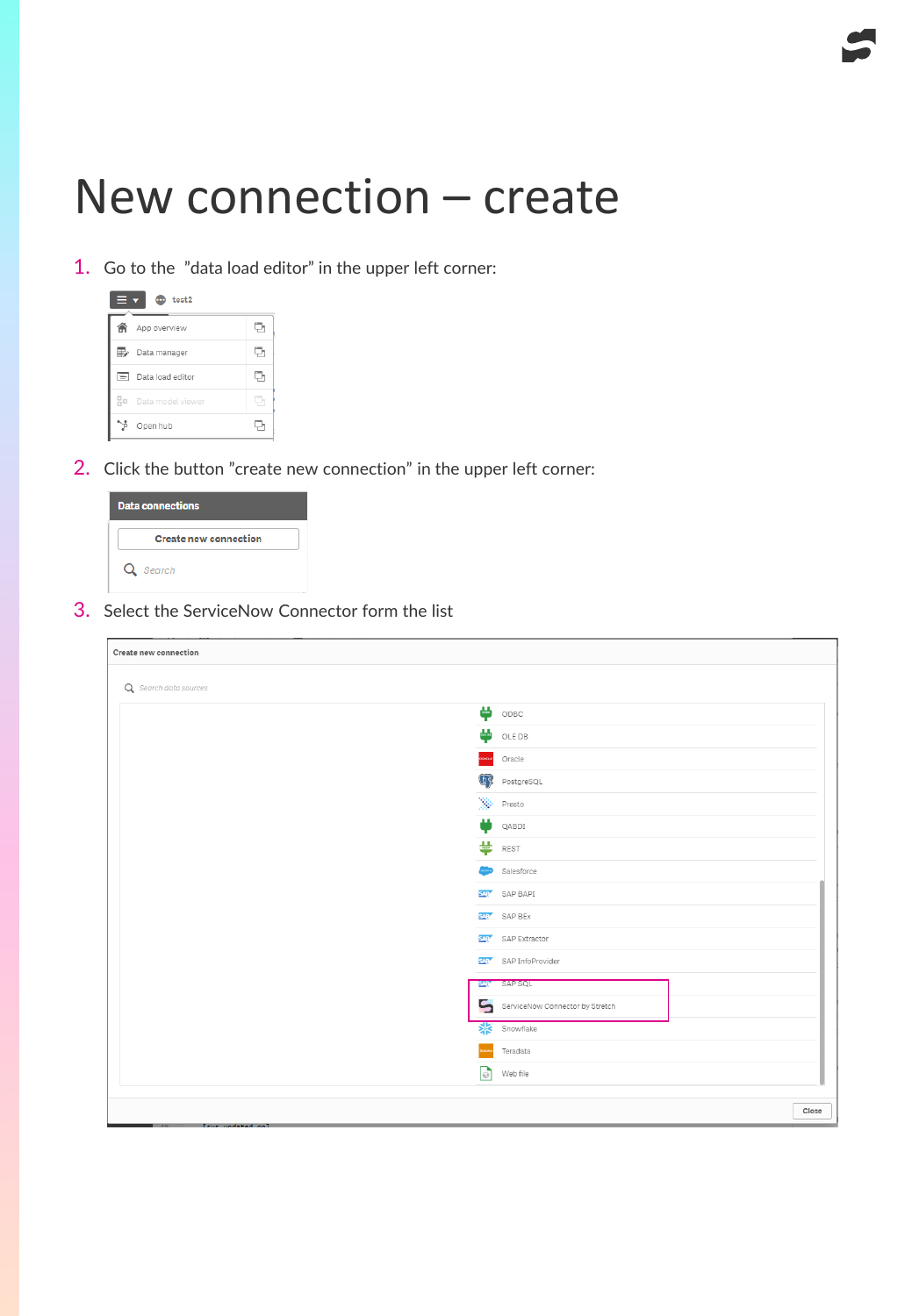## New connection – create

1. Go to the "data load editor" in the upper left corner:

|   | test <sub>2</sub> |    |
|---|-------------------|----|
|   | App overview      |    |
| ₽ | Data manager      | ᇅ  |
| 盾 | Data load editor  | P١ |
| 뭐 | Data model viewer |    |
|   | Open hub          |    |

2. Click the button "create new connection" in the upper left corner:

| <b>Data connections</b>      |  |
|------------------------------|--|
| <b>Create new connection</b> |  |
| Q Search                     |  |

3. Select the ServiceNow Connector form the list

| Create new connection |                                      |  |
|-----------------------|--------------------------------------|--|
| Q Search data sources |                                      |  |
|                       | ₩<br>ODBC                            |  |
|                       | as of<br>OLE DB                      |  |
|                       | Oracle                               |  |
|                       | 67<br>PostgreSQL                     |  |
|                       | 湊<br>Presto                          |  |
|                       | ш.<br>QABDI                          |  |
|                       | ₩<br>REST                            |  |
|                       | Salesforce                           |  |
|                       | SAP BAPI                             |  |
|                       | <b>SAP</b><br>SAP BEX                |  |
|                       | <b>SAD</b><br>SAP Extractor          |  |
|                       | SAP InfoProvider                     |  |
|                       | SAP SQL<br><b>SAP</b>                |  |
|                       | 5<br>ServiceNow Connector by Stretch |  |
|                       | ☀<br>Snowflake                       |  |
|                       | Teradata                             |  |
|                       | Web file<br>ெ                        |  |
|                       |                                      |  |
| AR Eve undated onl    | Close                                |  |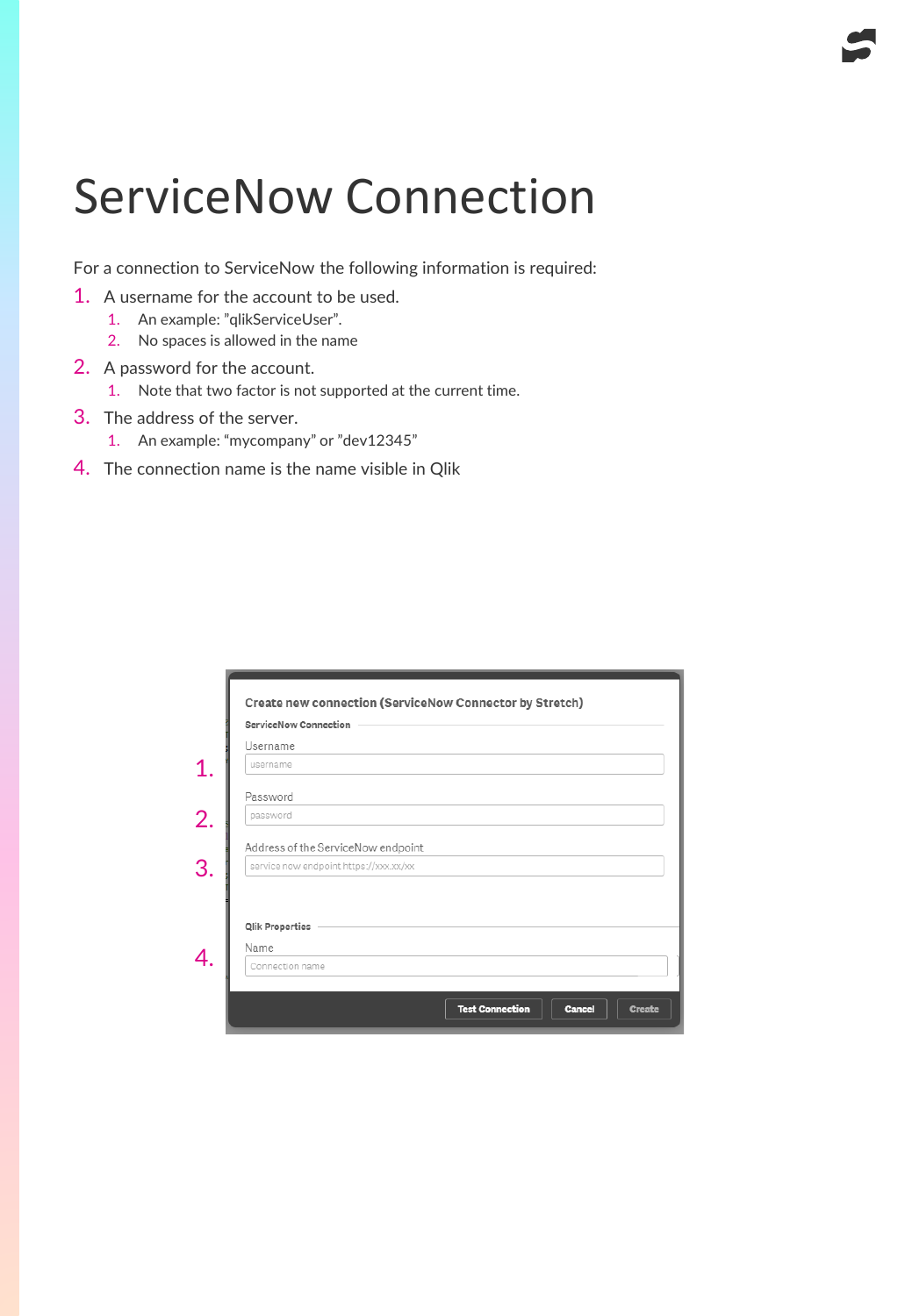# ServiceNow Connection

For a connection to ServiceNow the following information is required:

- 1. A username for the account to be used.
	- 1. An example: "qlikServiceUser".
		- 2. No spaces is allowed in the name
- 2. A password for the account.
	- 1. Note that two factor is not supported at the current time.
- 3. The address of the server.
	- 1. An example: "mycompany" or "dev12345"
- 4. The connection name is the name visible in Qlik

| ServiceNow Connection  |  |
|------------------------|--|
| Username               |  |
| username               |  |
| Password               |  |
| password               |  |
| <b>Qlik Properties</b> |  |
| Name                   |  |
| Connection name        |  |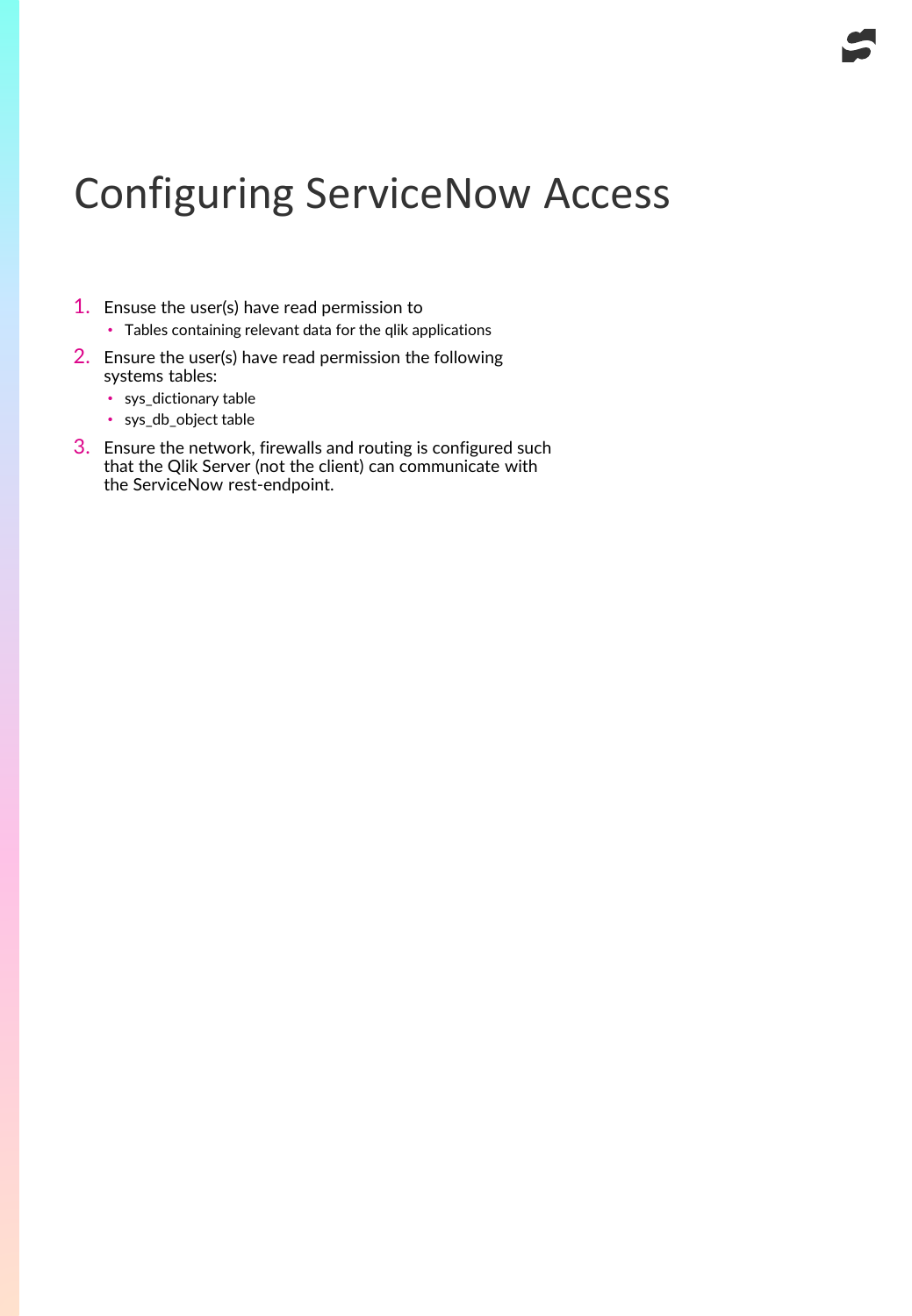### Configuring ServiceNow Access

#### 1. Ensuse the user(s) have read permission to

- Tables containing relevant data for the qlik applications
- 2. Ensure the user(s) have read permission the following systems tables:
	- sys\_dictionary table
	- sys db object table
- 3. Ensure the network, firewalls and routing is configured such that the Qlik Server (not the client) can communicate with the ServiceNow rest-endpoint.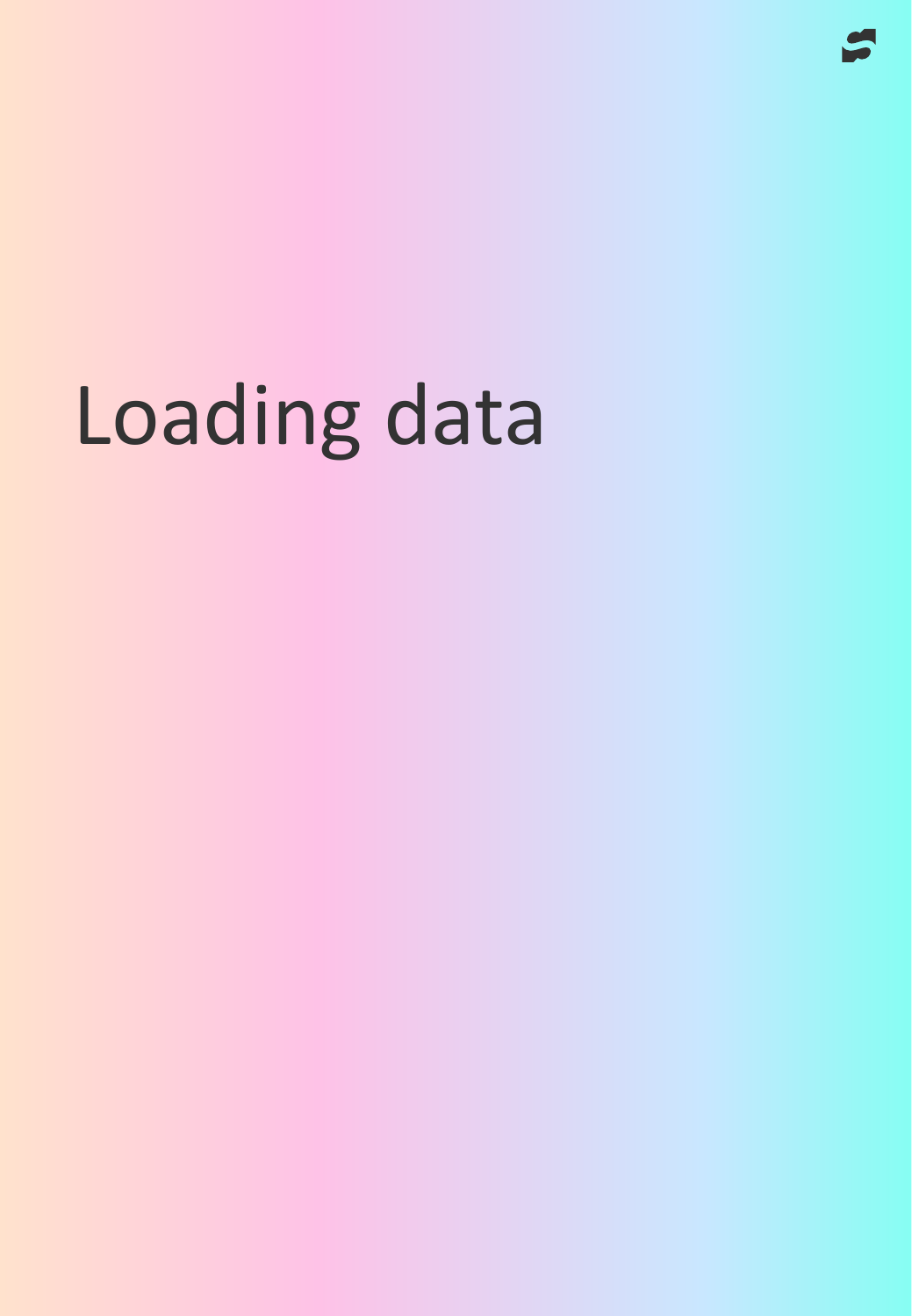# Loading data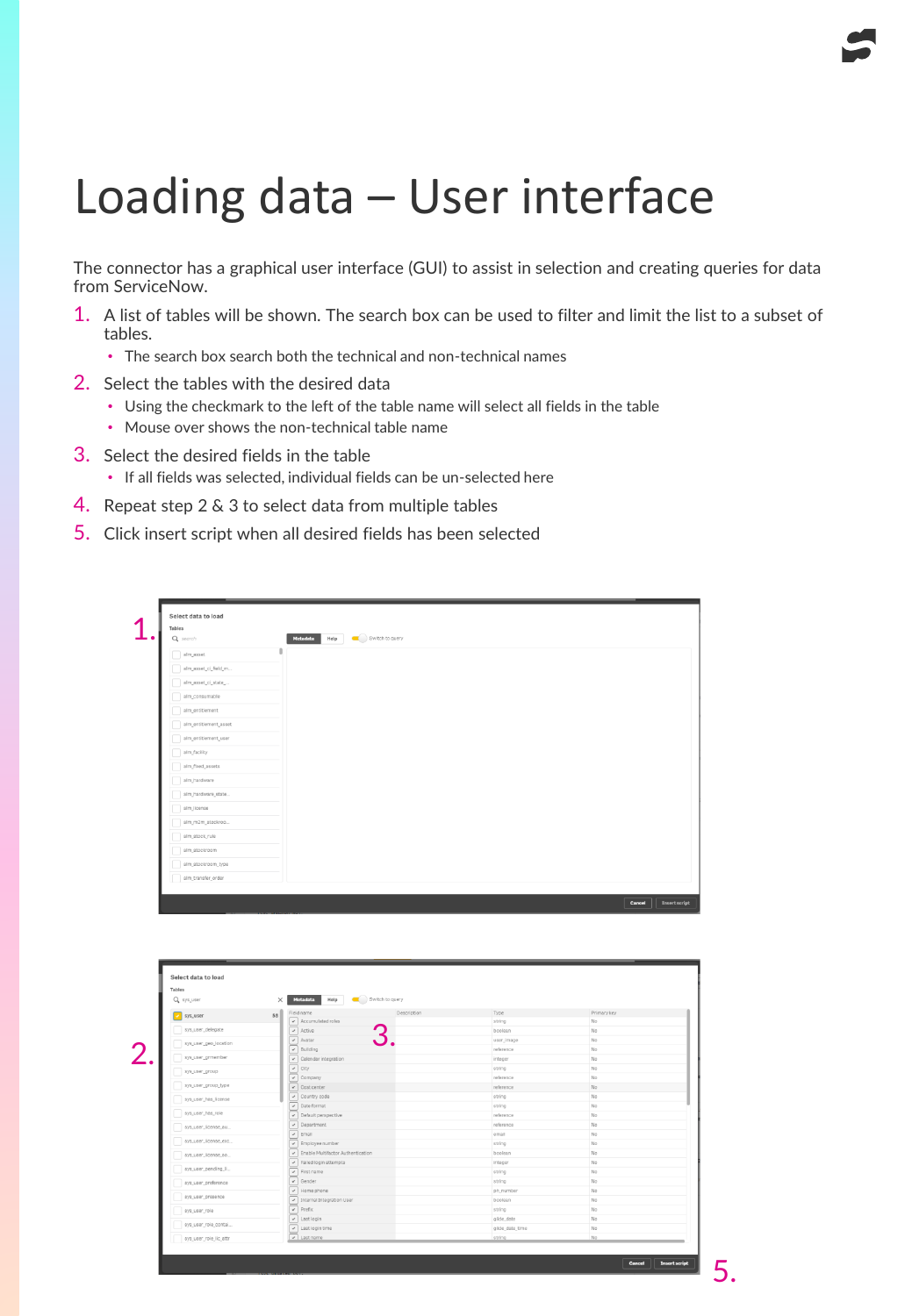# Loading data – User interface

The connector has a graphical user interface (GUI) to assist in selection and creating queries for data from ServiceNow.

- 1. A list of tables will be shown. The search box can be used to filter and limit the list to a subset of tables.
	- The search box search both the technical and non-technical names
- 2. Select the tables with the desired data
	- Using the checkmark to the left of the table name will select all fields in the table
	- Mouse over shows the non-technical table name
- 3. Select the desired fields in the table
	- If all fields was selected, individual fields can be un-selected here
- 4. Repeat step 2 & 3 to select data from multiple tables
- 5. Click insert script when all desired fields has been selected

| Tables<br>Q search                                                                                                    | Help Switch to query<br>Metadata |
|-----------------------------------------------------------------------------------------------------------------------|----------------------------------|
| $\hfill$ alm_asset                                                                                                    | ï                                |
| alm_asset_ci_field_m                                                                                                  |                                  |
| $\label{eq:1} \centering \begin{tabular}{ c c c } \hline & \text{aim\_asset\_cl\_state}\dots \\ \hline \end{tabular}$ |                                  |
| alm_consumable                                                                                                        |                                  |
| alm_entitlement                                                                                                       |                                  |
| alm_entitlement_asset                                                                                                 |                                  |
| alm_entitlement_user                                                                                                  |                                  |
| alm_facility                                                                                                          |                                  |
| $\quad$ alm_fixed_assets                                                                                              |                                  |
| alm_hardware                                                                                                          |                                  |
| alm_hardware_state                                                                                                    |                                  |
| alm_license                                                                                                           |                                  |
| alm_m2m_stockroo                                                                                                      |                                  |
| $\boxed{\phantom{a}}$ alm_stock_rule                                                                                  |                                  |
| $\hfill$ alm_stockroom                                                                                                |                                  |
| alm_stockroom_type                                                                                                    |                                  |
| alm_transfer_order                                                                                                    |                                  |

| Tables                |                                                   |             |                 |             |
|-----------------------|---------------------------------------------------|-------------|-----------------|-------------|
| Q sys_user            | Switch to query<br>Help<br>Metadata<br>$\times$   |             |                 |             |
| y sys_user            | Field name<br>55                                  | Description | Type            | Primary key |
|                       | $\blacktriangleright$ Accumulated roles           |             | string          | No          |
| sys_user_delegate     | $\sim$<br>Active                                  |             | boolean         | No          |
| sys_user_geo_location | $\checkmark$<br>Avatar                            |             | user_image      | No          |
|                       | $\overline{\phantom{a}}$<br>Building              |             | reference       | No          |
| sys_user_grmember     | $\overline{\phantom{a}}$<br>Calendar integration  |             | integer         | No          |
| sys_user_group        | $\checkmark$<br>City                              |             | string          | No          |
|                       | $\checkmark$<br>Company                           |             | reference       | No          |
| sys_user_group_type   | $\vert\hspace{.1cm}\vert$ Cost center             |             | reference       | No          |
| sys_user_has_license  | country code                                      |             | string          | No          |
|                       | $\blacktriangleright$ Date format                 |             | string          | No          |
| sys_user_has_role     | $\blacktriangleright$ Default perspective         |             | reference       | No          |
| sys_user_license_au   | Department<br>$\checkmark$                        |             | reference       | No          |
|                       | $\checkmark$<br>Email                             |             | email           | No          |
| sys_user_license_exc  | $\checkmark$<br>Employee number                   |             | string          | No.         |
| sys_user_license_so   | Enable Multifactor Authentication<br>$\checkmark$ |             | boolean         | No          |
|                       | Failed login attempts<br>$\checkmark$             |             | integer         | No          |
| sys_user_pending_li   | $\sim$<br>First name                              |             | string          | No          |
| sys_user_preference   | $\checkmark$<br>Gender                            |             | string          | No          |
|                       | $\blacktriangleright$ Home phone                  |             | ph_number       | No          |
| sys_user_presence     | Internal Integration User                         |             | boolean         | No          |
| sys_user_role         | $\blacktriangleright$ Prefix                      |             | string          | No          |
| sys_user_role_contai  | Last login                                        |             | glide date      | No          |
|                       | Last login time                                   |             | glide date time | No          |

5.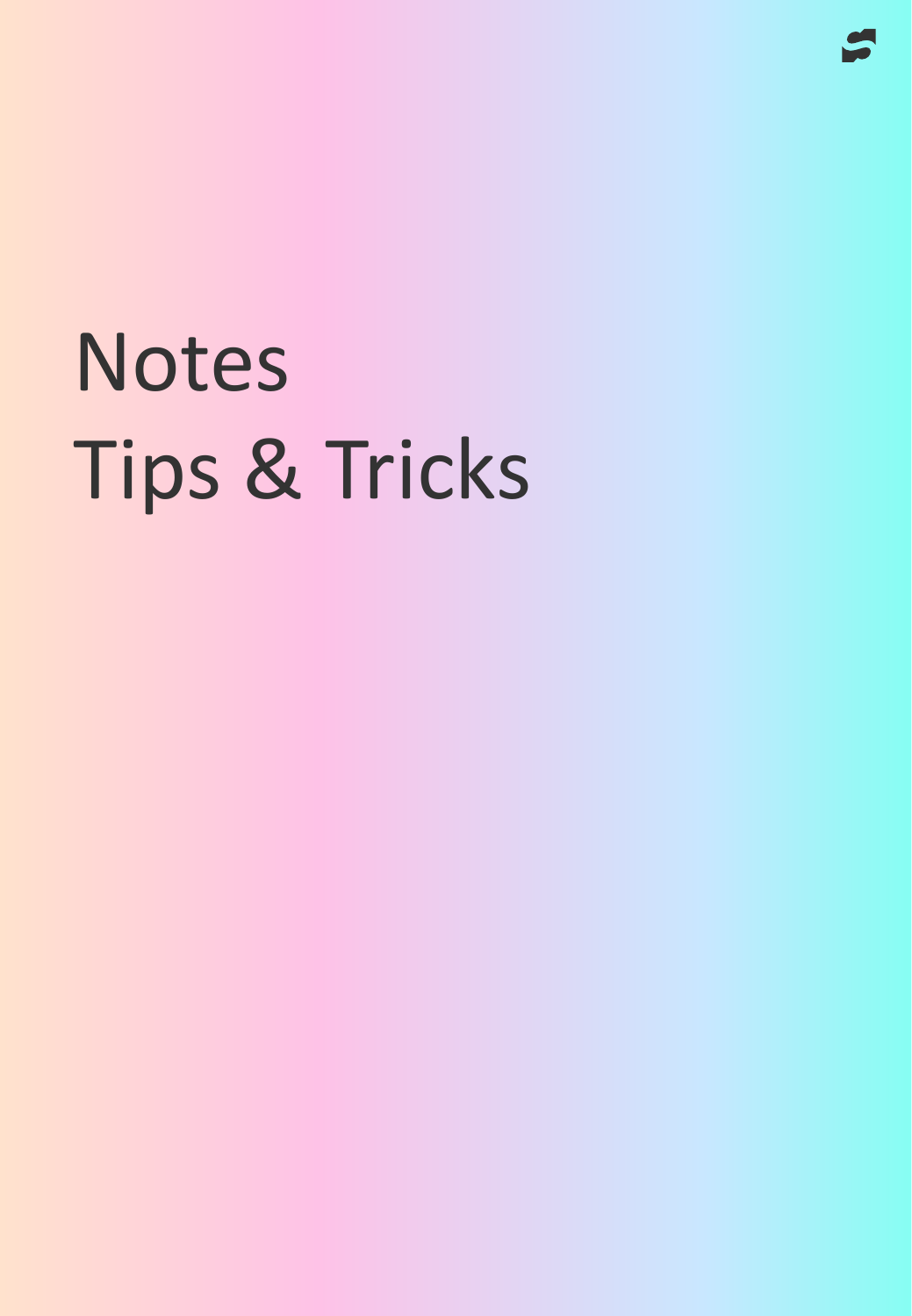Notes Tips & Tricks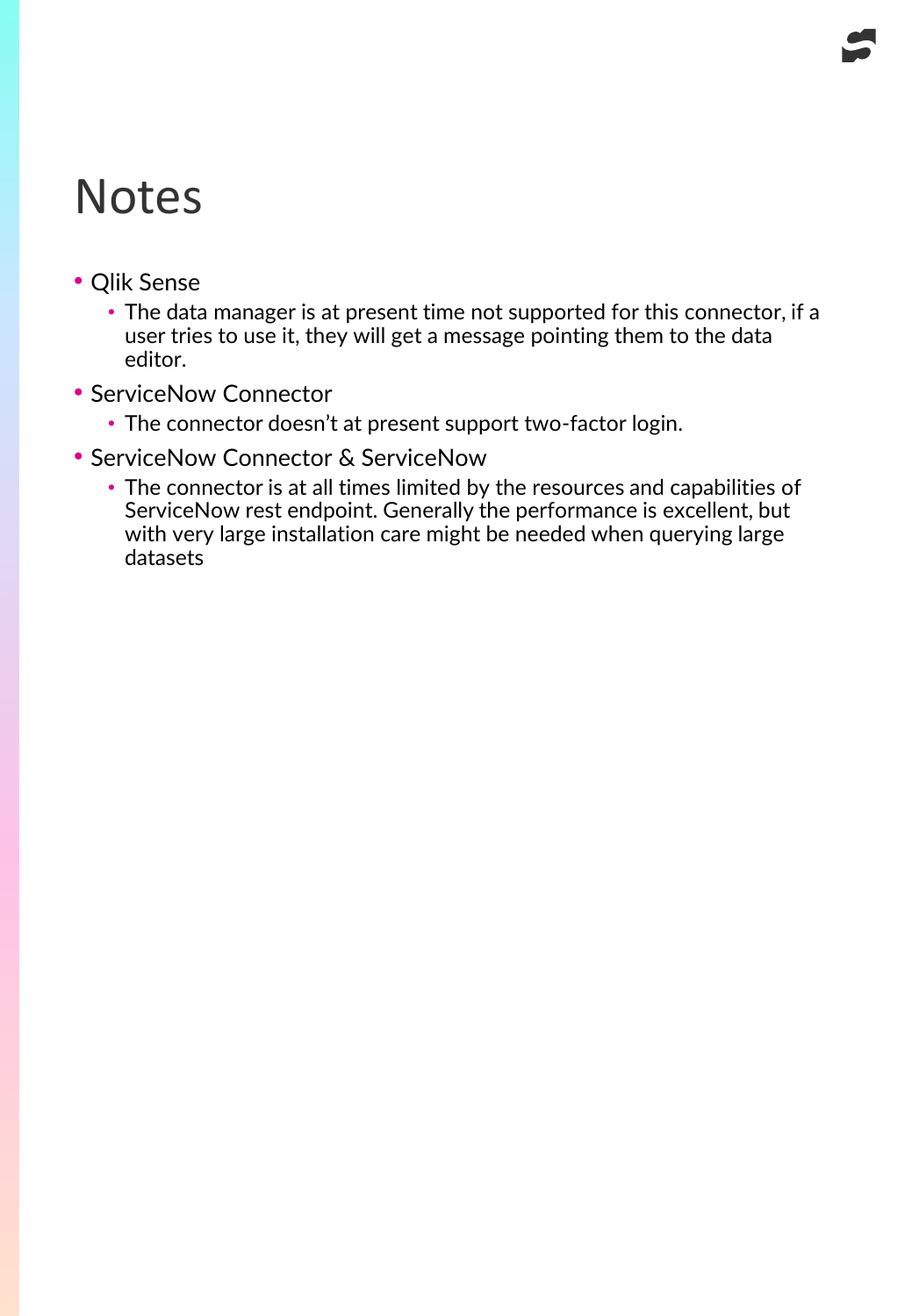## Notes

#### • Qlik Sense

- The data manager is at present time not supported for this connector, if a user tries to use it, they will get a message pointing them to the data editor.
- ServiceNow Connector
	- The connector doesn't at present support two-factor login.
- ServiceNow Connector & ServiceNow
	- The connector is at all times limited by the resources and capabilities of ServiceNow rest endpoint. Generally the performance is excellent, but with very large installation care might be needed when querying large datasets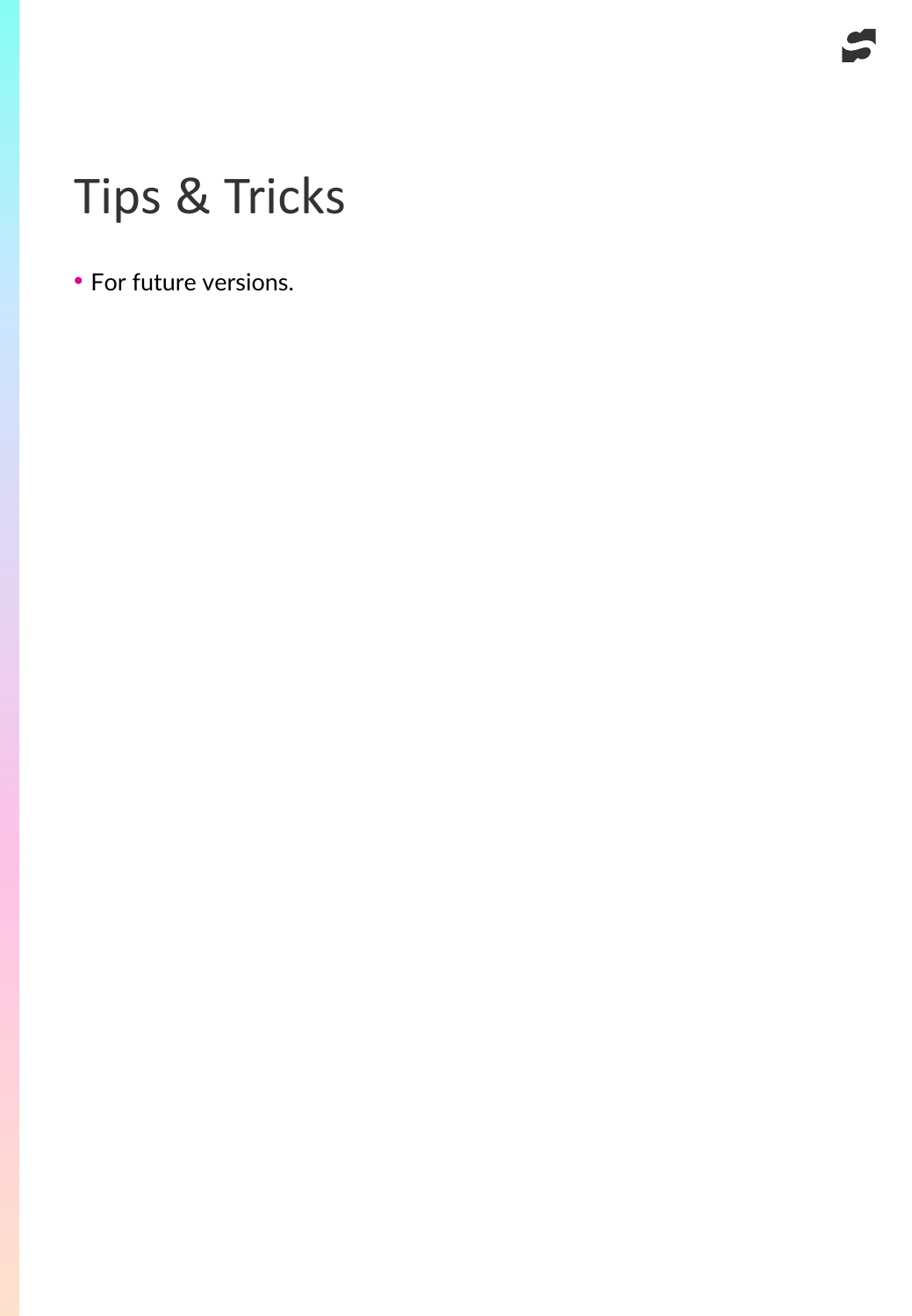# Tips & Tricks

• For future versions.